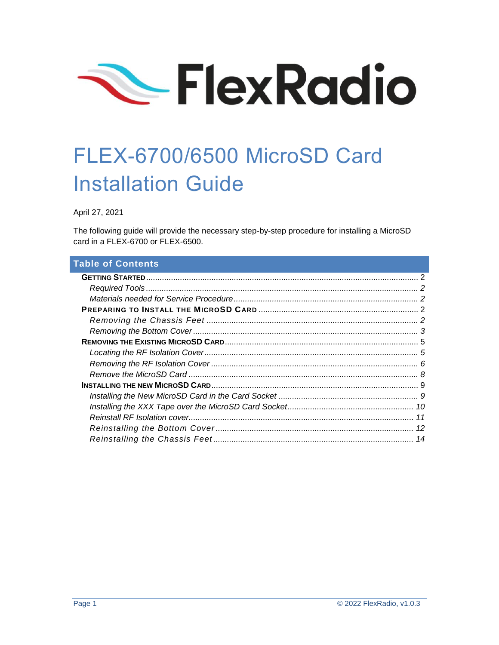

# FLEX-6700/6500 MicroSD Card Installation Guide

April 27, 2021

The following guide will provide the necessary step-by-step procedure for installing a MicroSD card in a FLEX-6700 or FLEX-6500.

## **Table of Contents**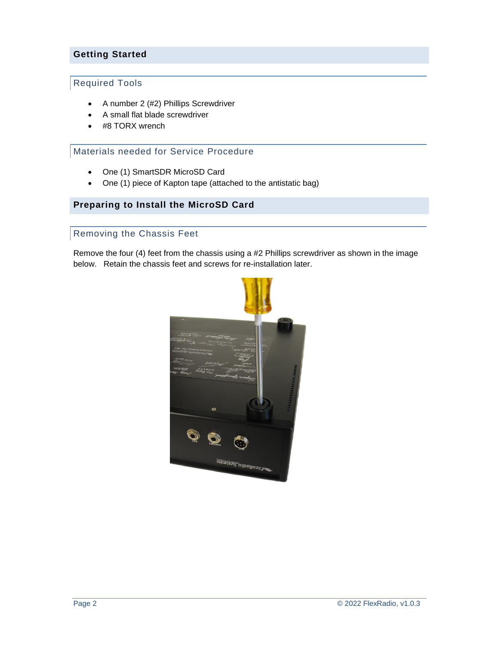## <span id="page-1-0"></span>**Getting Started**

## <span id="page-1-1"></span>Required Tools

- A number 2 (#2) Phillips Screwdriver
- A small flat blade screwdriver
- #8 TORX wrench

#### <span id="page-1-2"></span>Materials needed for Service Procedure

- One (1) SmartSDR MicroSD Card
- One (1) piece of Kapton tape (attached to the antistatic bag)

#### <span id="page-1-4"></span><span id="page-1-3"></span>**Preparing to Install the MicroSD Card**

#### Removing the Chassis Feet

Remove the four (4) feet from the chassis using a #2 Phillips screwdriver as shown in the image below. Retain the chassis feet and screws for re-installation later.

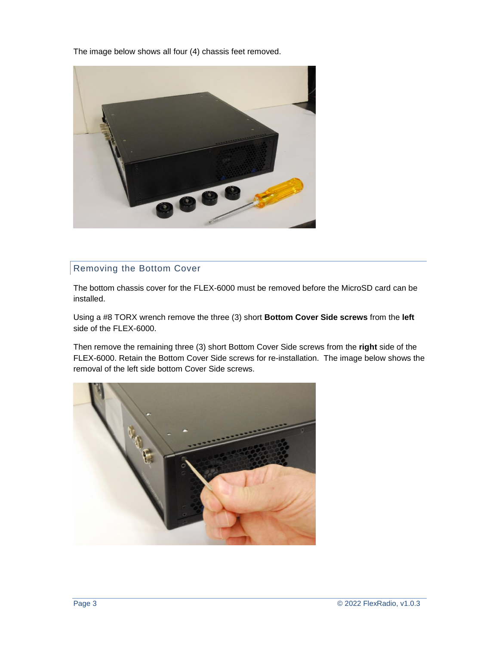The image below shows all four (4) chassis feet removed.



## <span id="page-2-0"></span>Removing the Bottom Cover

The bottom chassis cover for the FLEX-6000 must be removed before the MicroSD card can be installed.

Using a #8 TORX wrench remove the three (3) short **Bottom Cover Side screws** from the **left** side of the FLEX-6000.

Then remove the remaining three (3) short Bottom Cover Side screws from the **right** side of the FLEX-6000. Retain the Bottom Cover Side screws for re-installation. The image below shows the removal of the left side bottom Cover Side screws.

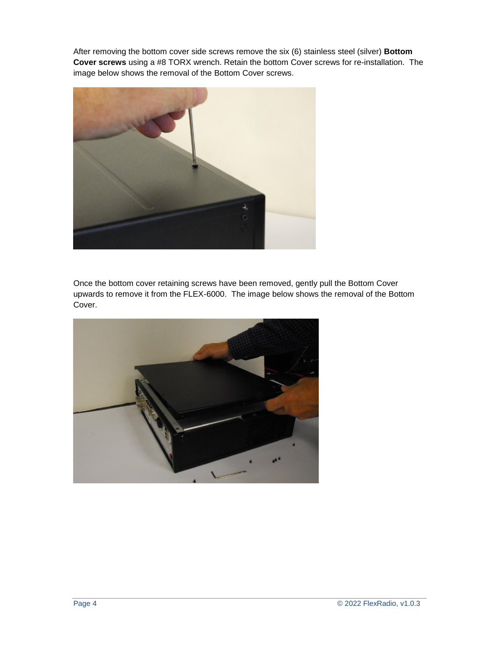After removing the bottom cover side screws remove the six (6) stainless steel (silver) **Bottom Cover screws** using a #8 TORX wrench. Retain the bottom Cover screws for re-installation. The image below shows the removal of the Bottom Cover screws.



Once the bottom cover retaining screws have been removed, gently pull the Bottom Cover upwards to remove it from the FLEX-6000. The image below shows the removal of the Bottom Cover.

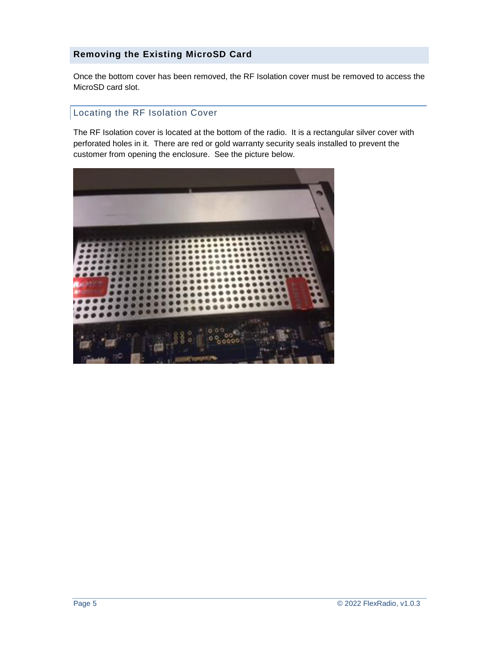## <span id="page-4-0"></span>**Removing the Existing MicroSD Card**

Once the bottom cover has been removed, the RF Isolation cover must be removed to access the MicroSD card slot.

#### <span id="page-4-1"></span>Locating the RF Isolation Cover

The RF Isolation cover is located at the bottom of the radio. It is a rectangular silver cover with perforated holes in it. There are red or gold warranty security seals installed to prevent the customer from opening the enclosure. See the picture below.

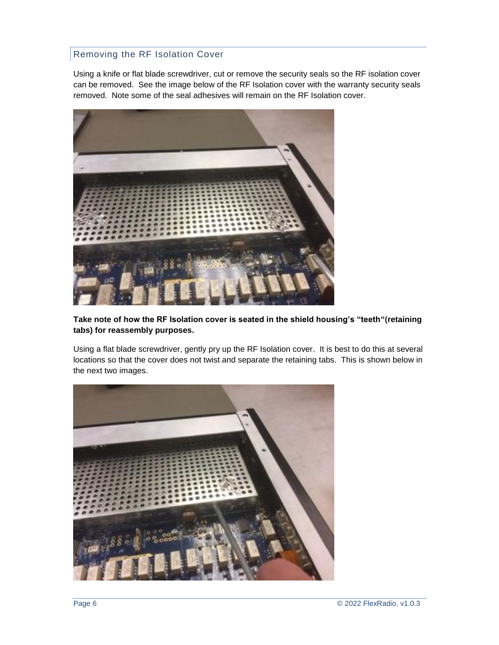## <span id="page-5-0"></span>Removing the RF Isolation Cover

Using a knife or flat blade screwdriver, cut or remove the security seals so the RF isolation cover can be removed. See the image below of the RF Isolation cover with the warranty security seals removed. Note some of the seal adhesives will remain on the RF Isolation cover.



**Take note of how the RF Isolation cover is seated in the shield housing's "teeth"(retaining tabs) for reassembly purposes.**

Using a flat blade screwdriver, gently pry up the RF Isolation cover. It is best to do this at several locations so that the cover does not twist and separate the retaining tabs. This is shown below in the next two images.

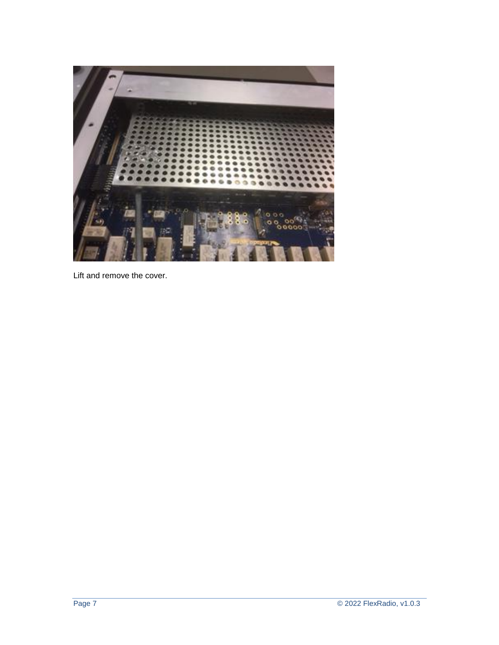

Lift and remove the cover.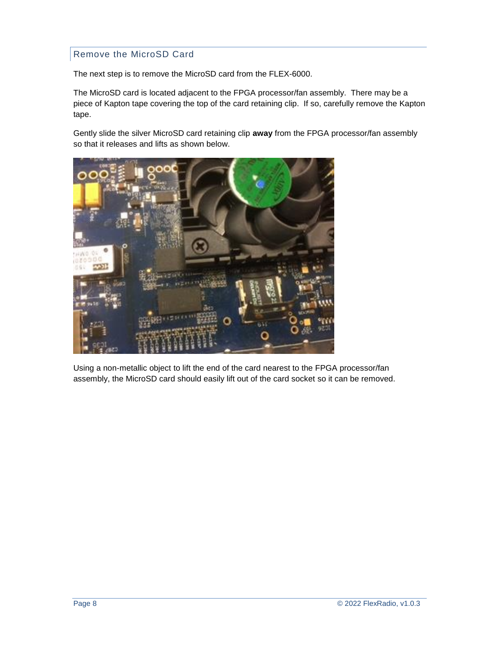## <span id="page-7-0"></span>Remove the MicroSD Card

The next step is to remove the MicroSD card from the FLEX-6000.

The MicroSD card is located adjacent to the FPGA processor/fan assembly. There may be a piece of Kapton tape covering the top of the card retaining clip. If so, carefully remove the Kapton tape.

Gently slide the silver MicroSD card retaining clip **away** from the FPGA processor/fan assembly so that it releases and lifts as shown below.



Using a non-metallic object to lift the end of the card nearest to the FPGA processor/fan assembly, the MicroSD card should easily lift out of the card socket so it can be removed.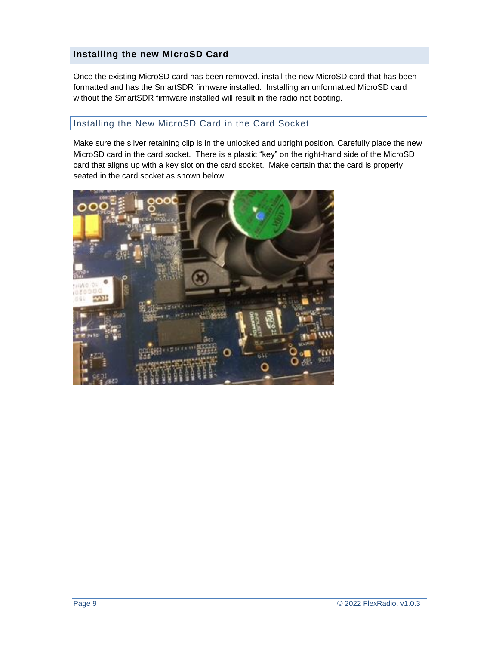#### <span id="page-8-0"></span>**Installing the new MicroSD Card**

Once the existing MicroSD card has been removed, install the new MicroSD card that has been formatted and has the SmartSDR firmware installed. Installing an unformatted MicroSD card without the SmartSDR firmware installed will result in the radio not booting.

## <span id="page-8-1"></span>Installing the New MicroSD Card in the Card Socket

Make sure the silver retaining clip is in the unlocked and upright position. Carefully place the new MicroSD card in the card socket. There is a plastic "key" on the right-hand side of the MicroSD card that aligns up with a key slot on the card socket. Make certain that the card is properly seated in the card socket as shown below.

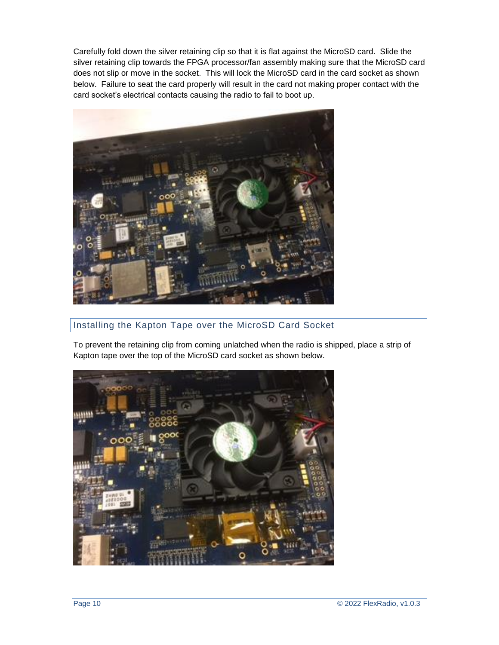Carefully fold down the silver retaining clip so that it is flat against the MicroSD card. Slide the silver retaining clip towards the FPGA processor/fan assembly making sure that the MicroSD card does not slip or move in the socket. This will lock the MicroSD card in the card socket as shown below. Failure to seat the card properly will result in the card not making proper contact with the card socket's electrical contacts causing the radio to fail to boot up.



# <span id="page-9-0"></span>Installing the Kapton Tape over the MicroSD Card Socket

To prevent the retaining clip from coming unlatched when the radio is shipped, place a strip of Kapton tape over the top of the MicroSD card socket as shown below.

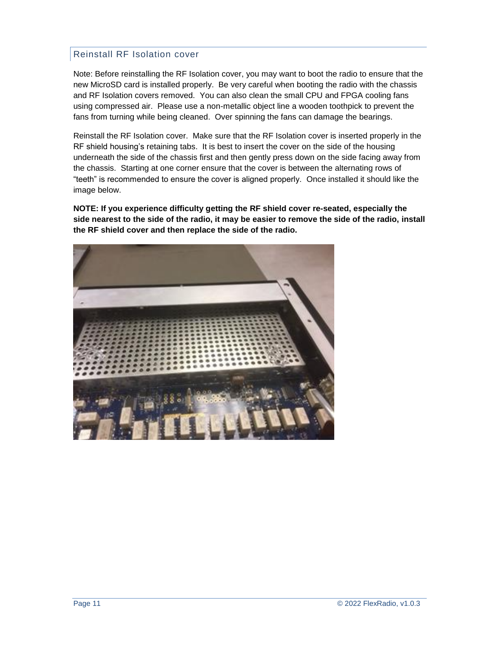#### <span id="page-10-0"></span>Reinstall RF Isolation cover

Note: Before reinstalling the RF Isolation cover, you may want to boot the radio to ensure that the new MicroSD card is installed properly. Be very careful when booting the radio with the chassis and RF Isolation covers removed. You can also clean the small CPU and FPGA cooling fans using compressed air. Please use a non-metallic object line a wooden toothpick to prevent the fans from turning while being cleaned. Over spinning the fans can damage the bearings.

Reinstall the RF Isolation cover. Make sure that the RF Isolation cover is inserted properly in the RF shield housing's retaining tabs. It is best to insert the cover on the side of the housing underneath the side of the chassis first and then gently press down on the side facing away from the chassis. Starting at one corner ensure that the cover is between the alternating rows of "teeth" is recommended to ensure the cover is aligned properly. Once installed it should like the image below.

**NOTE: If you experience difficulty getting the RF shield cover re-seated, especially the side nearest to the side of the radio, it may be easier to remove the side of the radio, install the RF shield cover and then replace the side of the radio.**

<span id="page-10-1"></span>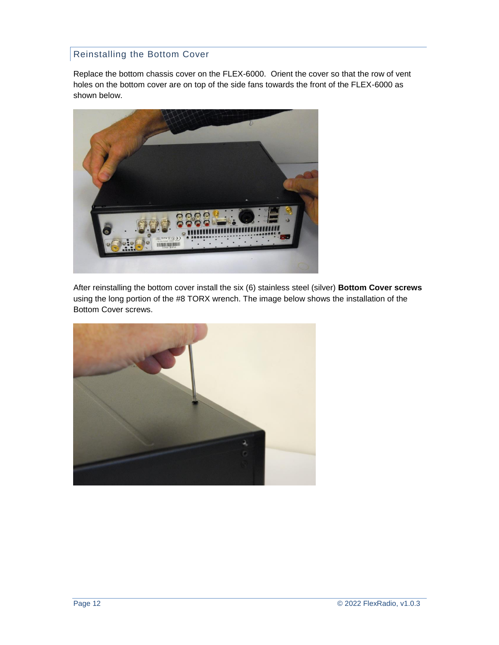## Reinstalling the Bottom Cover

Replace the bottom chassis cover on the FLEX-6000. Orient the cover so that the row of vent holes on the bottom cover are on top of the side fans towards the front of the FLEX-6000 as shown below.



After reinstalling the bottom cover install the six (6) stainless steel (silver) **Bottom Cover screws** using the long portion of the #8 TORX wrench. The image below shows the installation of the Bottom Cover screws.

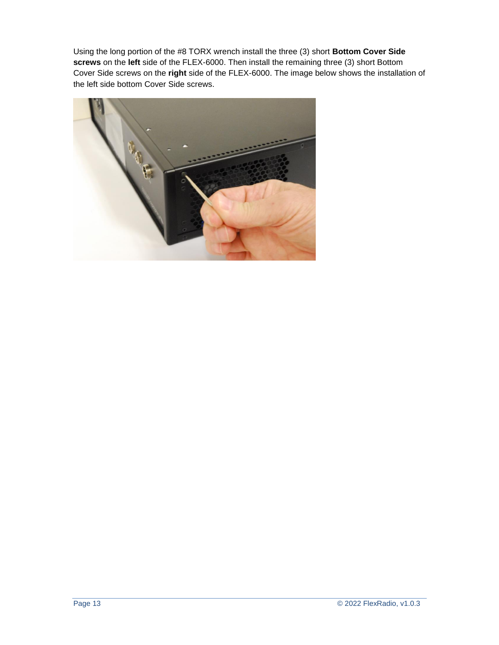Using the long portion of the #8 TORX wrench install the three (3) short **Bottom Cover Side screws** on the **left** side of the FLEX-6000. Then install the remaining three (3) short Bottom Cover Side screws on the **right** side of the FLEX-6000. The image below shows the installation of the left side bottom Cover Side screws.